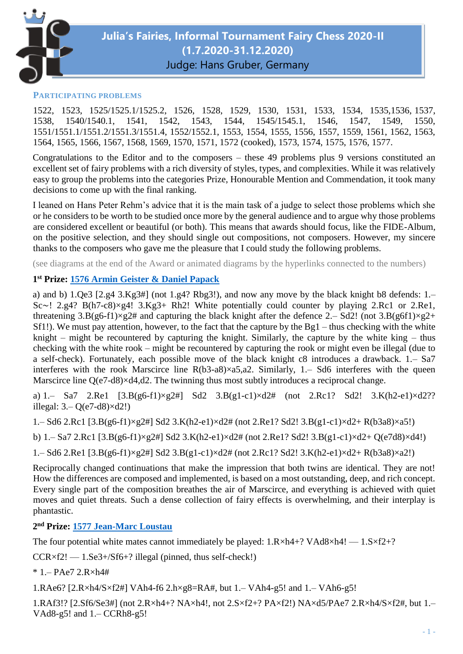

#### **PARTICIPATING PROBLEMS**

1522, 1523, 1525/1525.1/1525.2, 1526, 1528, 1529, 1530, 1531, 1533, 1534, 1535,1536, 1537, 1538, 1540/1540.1, 1541, 1542, 1543, 1544, 1545/1545.1, 1546, 1547, 1549, 1550, 1551/1551.1/1551.2/1551.3/1551.4, 1552/1552.1, 1553, 1554, 1555, 1556, 1557, 1559, 1561, 1562, 1563, 1564, 1565, 1566, 1567, 1568, 1569, 1570, 1571, 1572 (cooked), 1573, 1574, 1575, 1576, 1577.

Congratulations to the Editor and to the composers – these 49 problems plus 9 versions constituted an excellent set of fairy problems with a rich diversity of styles, types, and complexities. While it was relatively easy to group the problems into the categories Prize, Honourable Mention and Commendation, it took many decisions to come up with the final ranking.

I leaned on Hans Peter Rehm's advice that it is the main task of a judge to select those problems which she or he considers to be worth to be studied once more by the general audience and to argue why those problems are considered excellent or beautiful (or both). This means that awards should focus, like the FIDE-Album, on the positive selection, and they should single out compositions, not composers. However, my sincere thanks to the composers who gave me the pleasure that I could study the following problems.

(see diagrams at the end of the Award or animated diagrams by the hyperlinks connected to the numbers)

## **1 st Prize: [1576 Armin Geister & Daniel Papack](https://juliasfairies.com/problems/no-1576/)**

a) and b) 1.Qe3 [2.g4 3.Kg3#] (not 1.g4? Rbg3!), and now any move by the black knight b8 defends: 1.– Sc∼! 2.g4? B(h7-c8)×g4! 3.Kg3+ Rh2! White potentially could counter by playing 2.Rc1 or 2.Re1, threatening  $3.B(g6-f1)\times g2\#$  and capturing the black knight after the defence 2.– Sd2! (not  $3.B(g6f1)\times g2+$ Sf1!). We must pay attention, however, to the fact that the capture by the Bg1 – thus checking with the white knight – might be recountered by capturing the knight. Similarly, the capture by the white king – thus checking with the white rook – might be recountered by capturing the rook or might even be illegal (due to a self-check). Fortunately, each possible move of the black knight c8 introduces a drawback. 1.– Sa7 interferes with the rook Marscirce line R(b3-a8)×a5,a2. Similarly, 1.– Sd6 interferes with the queen Marscirce line Q(e7-d8)×d4,d2. The twinning thus most subtly introduces a reciprocal change.

a) 1.– Sa7 2.Re1 [3.B(g6-f1)×g2#] Sd2 3.B(g1-c1)×d2# (not 2.Rc1? Sd2! 3.K(h2-e1)×d2?? illegal: 3.– Q(e7-d8)×d2!)

1.– Sd6 2.Rc1 [3.B(g6-f1)×g2#] Sd2 3.K(h2-e1)×d2# (not 2.Re1? Sd2! 3.B(g1-c1)×d2+ R(b3a8)×a5!)

b) 1.– Sa7 2.Rc1 [3.B(g6-f1)×g2#] Sd2 3.K(h2-e1)×d2# (not 2.Re1? Sd2! 3.B(g1-c1)×d2+ Q(e7d8)×d4!)

1.– Sd6 2.Re1 [3.B(g6-f1)×g2#] Sd2 3.B(g1-c1)×d2# (not 2.Rc1? Sd2! 3.K(h2-e1)×d2+ R(b3a8)×a2!)

Reciprocally changed continuations that make the impression that both twins are identical. They are not! How the differences are composed and implemented, is based on a most outstanding, deep, and rich concept. Every single part of the composition breathes the air of Marscirce, and everything is achieved with quiet moves and quiet threats. Such a dense collection of fairy effects is overwhelming, and their interplay is phantastic.

#### **2 nd Prize: [1577 Jean-Marc Loustau](https://juliasfairies.com/problems/no-1577/)**

The four potential white mates cannot immediately be played:  $1.R \times h4+$ ? VAd8 $\times h4!$  —  $1.S \times f2+$ ?

 $CCR \times f2!$  — 1.Se3+/Sf6+? illegal (pinned, thus self-check!)

\* 1.– PAe7 2.R×h4#

1.RAe6? [2.R×h4/S×f2#] VAh4-f6 2.h×g8=RA#, but 1.– VAh4-g5! and 1.– VAh6-g5!

1.RAf3!? [2.Sf6/Se3#] (not 2.R×h4+? NA×h4!, not 2.S×f2+? PA×f2!) NA×d5/PAe7 2.R×h4/S×f2#, but 1.– VAd8-g5! and 1.– CCRh8-g5!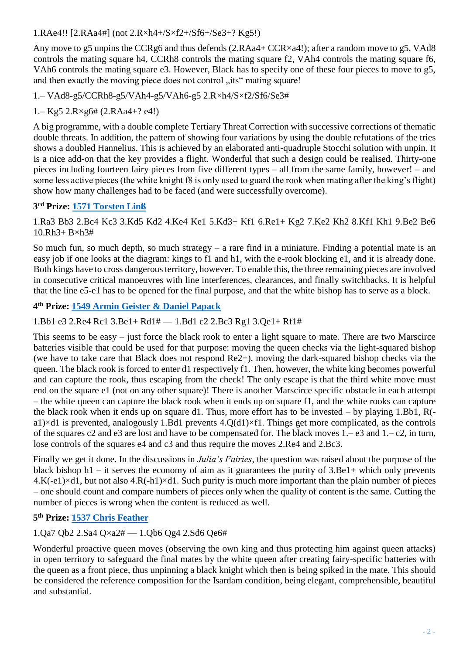1.RAe4!! [2.RAa4#] (not 2.R×h4+/S×f2+/Sf6+/Se3+? Kg5!)

Any move to g5 unpins the CCRg6 and thus defends (2.RAa4+ CCR×a4!); after a random move to g5, VAd8 controls the mating square h4, CCRh8 controls the mating square f2, VAh4 controls the mating square f6, VAh6 controls the mating square e3. However, Black has to specify one of these four pieces to move to g5, and then exactly the moving piece does not control "its" mating square!

1.– VAd8-g5/CCRh8-g5/VAh4-g5/VAh6-g5 2.R×h4/S×f2/Sf6/Se3#

1.– Kg5 2.R×g6# (2.RAa4+? e4!)

A big programme, with a double complete Tertiary Threat Correction with successive corrections of thematic double threats. In addition, the pattern of showing four variations by using the double refutations of the tries shows a doubled Hannelius. This is achieved by an elaborated anti-quadruple Stocchi solution with unpin. It is a nice add-on that the key provides a flight. Wonderful that such a design could be realised. Thirty-one pieces including fourteen fairy pieces from five different types – all from the same family, however! – and some less active pieces (the white knight f8 is only used to guard the rook when mating after the king's flight) show how many challenges had to be faced (and were successfully overcome).

## **3 rd Prize: [1571 Torsten Linß](https://juliasfairies.com/problems/no-1571/)**

1.Ra3 Bb3 2.Bc4 Kc3 3.Kd5 Kd2 4.Ke4 Ke1 5.Kd3+ Kf1 6.Re1+ Kg2 7.Ke2 Kh2 8.Kf1 Kh1 9.Be2 Be6 10.Rh3+ B×h3#

So much fun, so much depth, so much strategy – a rare find in a miniature. Finding a potential mate is an easy job if one looks at the diagram: kings to f1 and h1, with the e-rook blocking e1, and it is already done. Both kings have to cross dangerous territory, however. To enable this, the three remaining pieces are involved in consecutive critical manoeuvres with line interferences, clearances, and finally switchbacks. It is helpful that the line e5-e1 has to be opened for the final purpose, and that the white bishop has to serve as a block.

# **4 th Prize: [1549 Armin Geister & Daniel Papack](https://juliasfairies.com/problems/no-1549/)**

## 1.Bb1 e3 2.Re4 Rc1 3.Be1+ Rd1# — 1.Bd1 c2 2.Bc3 Rg1 3.Qe1+ Rf1#

This seems to be easy – just force the black rook to enter a light square to mate. There are two Marscirce batteries visible that could be used for that purpose: moving the queen checks via the light-squared bishop (we have to take care that Black does not respond Re2+), moving the dark-squared bishop checks via the queen. The black rook is forced to enter d1 respectively f1. Then, however, the white king becomes powerful and can capture the rook, thus escaping from the check! The only escape is that the third white move must end on the square e1 (not on any other square)! There is another Marscirce specific obstacle in each attempt – the white queen can capture the black rook when it ends up on square f1, and the white rooks can capture the black rook when it ends up on square d1. Thus, more effort has to be invested – by playing 1.Bb1, R( a1) $\times$ d1 is prevented, analogously 1.Bd1 prevents 4.Q(d1) $\times$ f1. Things get more complicated, as the controls of the squares c2 and e3 are lost and have to be compensated for. The black moves 1.– e3 and 1.– c2, in turn, lose controls of the squares e4 and c3 and thus require the moves 2.Re4 and 2.Bc3.

Finally we get it done. In the discussions in *Julia's Fairies*, the question was raised about the purpose of the black bishop  $h1 - i$  serves the economy of aim as it guarantees the purity of  $3.Be1 +$  which only prevents  $4.K(-e1) \times d1$ , but not also  $4.R(-h1) \times d1$ . Such purity is much more important than the plain number of pieces – one should count and compare numbers of pieces only when the quality of content is the same. Cutting the number of pieces is wrong when the content is reduced as well.

# **5 th Prize: [1537 Chris Feather](https://juliasfairies.com/problems/no-1537/)**

# 1.Qa7 Qb2 2.Sa4 Q×a2# — 1.Qb6 Qg4 2.Sd6 Qe6#

Wonderful proactive queen moves (observing the own king and thus protecting him against queen attacks) in open territory to safeguard the final mates by the white queen after creating fairy-specific batteries with the queen as a front piece, thus unpinning a black knight which then is being spiked in the mate. This should be considered the reference composition for the Isardam condition, being elegant, comprehensible, beautiful and substantial.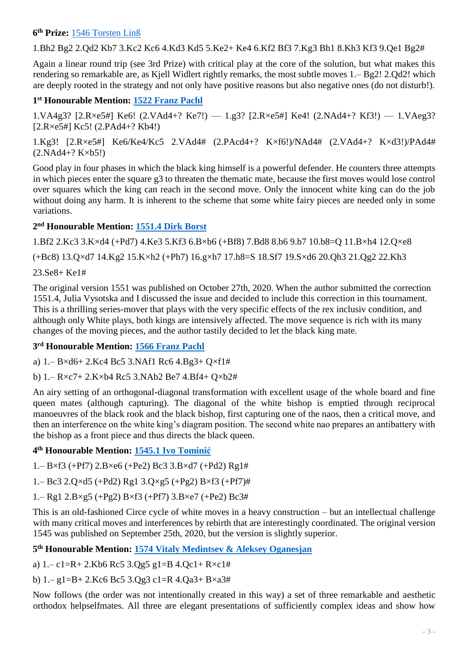#### **6 th Prize:** [1546 Torsten Linß](https://juliasfairies.com/problems/no-1546/)

1.Bh2 Bg2 2.Qd2 Kb7 3.Kc2 Kc6 4.Kd3 Kd5 5.Ke2+ Ke4 6.Kf2 Bf3 7.Kg3 Bh1 8.Kh3 Kf3 9.Qe1 Bg2#

Again a linear round trip (see 3rd Prize) with critical play at the core of the solution, but what makes this rendering so remarkable are, as Kjell Widlert rightly remarks, the most subtle moves 1.– Bg2! 2.Qd2! which are deeply rooted in the strategy and not only have positive reasons but also negative ones (do not disturb!).

## **1 st Honourable Mention: [1522 Franz Pachl](https://juliasfairies.com/problems/no-1522/)**

1.VA4g3? [2.R×e5#] Ke6! (2.VAd4+? Ke7!) — 1.g3? [2.R×e5#] Ke4! (2.NAd4+? Kf3!) — 1.VAeg3? [2.R×e5#] Kc5! (2.PAd4+? Kb4!)

1.Kg3! [2.R×e5#] Ke6/Ke4/Kc5 2.VAd4# (2.PAcd4+? K×f6!)/NAd4# (2.VAd4+? K×d3!)/PAd4# (2.NAd4+? K×b5!)

Good play in four phases in which the black king himself is a powerful defender. He counters three attempts in which pieces enter the square g3 to threaten the thematic mate, because the first moves would lose control over squares which the king can reach in the second move. Only the innocent white king can do the job without doing any harm. It is inherent to the scheme that some white fairy pieces are needed only in some variations.

## **2 nd Honourable Mention: [1551.4 Dirk Borst](https://juliasfairies.com/problems/no-1551/)**

1.Bf2 2.Kc3 3.K×d4 (+Pd7) 4.Ke3 5.Kf3 6.B×b6 (+Bf8) 7.Bd8 8.b6 9.b7 10.b8=Q 11.B×h4 12.Q×e8

(+Bc8) 13.Q×d7 14.Kg2 15.K×h2 (+Ph7) 16.g×h7 17.h8=S 18.Sf7 19.S×d6 20.Qh3 21.Qg2 22.Kh3

23.Se8+ Ke1#

The original version 1551 was published on October 27th, 2020. When the author submitted the correction 1551.4, Julia Vysotska and I discussed the issue and decided to include this correction in this tournament. This is a thrilling series-mover that plays with the very specific effects of the rex inclusiv condition, and although only White plays, both kings are intensively affected. The move sequence is rich with its many changes of the moving pieces, and the author tastily decided to let the black king mate.

#### **3 rd Honourable Mention: [1566 Franz Pachl](https://juliasfairies.com/problems/no-1566/)**

a) 1.– B×d6+ 2.Kc4 Bc5 3.NAf1 Rc6 4.Bg3+ Q×f1#

b) 1.– R×c7+ 2.K×b4 Rc5 3.NAb2 Be7 4.Bf4+ Q×b2#

An airy setting of an orthogonal-diagonal transformation with excellent usage of the whole board and fine queen mates (although capturing). The diagonal of the white bishop is emptied through reciprocal manoeuvres of the black rook and the black bishop, first capturing one of the naos, then a critical move, and then an interference on the white king's diagram position. The second white nao prepares an antibattery with the bishop as a front piece and thus directs the black queen.

#### **4 th Honourable Mention: [1545.1 Ivo Tominić](https://juliasfairies.com/problems/no-1545/)**

 $1 - B \times f3$  (+Pf7)  $2.B \times e6$  (+Pe2) Bc3  $3.B \times d7$  (+Pd2) Rg1#

1.– Bc3 2.Q×d5 (+Pd2) Rg1 3.Q×g5 (+Pg2) B×f3 (+Pf7)#

1.– Rg1 2.B×g5 (+Pg2) B×f3 (+Pf7) 3.B×e7 (+Pe2) Bc3#

This is an old-fashioned Circe cycle of white moves in a heavy construction – but an intellectual challenge with many critical moves and interferences by rebirth that are interestingly coordinated. The original version 1545 was published on September 25th, 2020, but the version is slightly superior.

#### **5 th Honourable Mention: 1574 Vitaly Medintsev [& Aleksey Oganesjan](https://juliasfairies.com/problems/no-1574/)**

a)  $1 - c1 = R + 2$ . Kb6 Rc5 3.Qg5 g1=B 4.Qc1 + R×c1#

b) 1.– g1=B+ 2.Kc6 Bc5 3.Qg3 c1=R 4.Qa3+ B×a3#

Now follows (the order was not intentionally created in this way) a set of three remarkable and aesthetic orthodox helpselfmates. All three are elegant presentations of sufficiently complex ideas and show how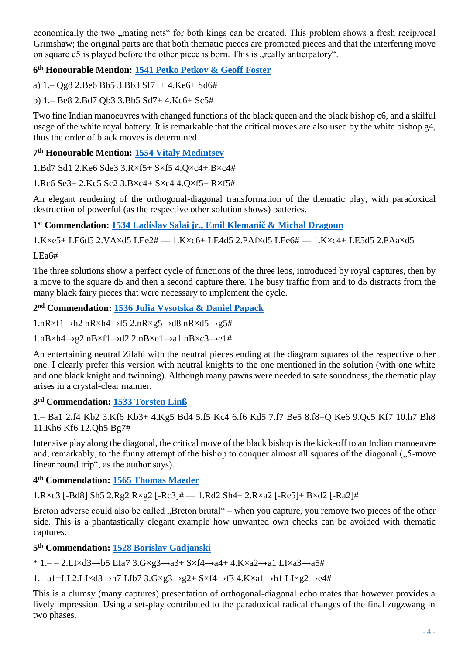economically the two , mating nets for both kings can be created. This problem shows a fresh reciprocal Grimshaw; the original parts are that both thematic pieces are promoted pieces and that the interfering move on square c5 is played before the other piece is born. This is "really anticipatory".

## **6 th Honourable Mention: [1541 Petko Petkov & Geoff Foster](https://juliasfairies.com/problems/no-1541/)**

a) 1.– Qg8 2.Be6 Bb5 3.Bb3 Sf7++ 4.Ke6+ Sd6#

b) 1.– Be8 2.Bd7 Qb3 3.Bb5 Sd7+ 4.Kc6+ Sc5#

Two fine Indian manoeuvres with changed functions of the black queen and the black bishop c6, and a skilful usage of the white royal battery. It is remarkable that the critical moves are also used by the white bishop g4, thus the order of black moves is determined.

## **7 th Honourable Mention: [1554 Vitaly Medintsev](https://juliasfairies.com/problems/no-1554/)**

1.Bd7 Sd1 2.Ke6 Sde3 3.R×f5+ S×f5 4.Q×c4+ B×c4#

1.Rc6 Se3+ 2.Kc5 Sc2 3.B×c4+ S×c4 4.Q×f5+ R×f5#

An elegant rendering of the orthogonal-diagonal transformation of the thematic play, with paradoxical destruction of powerful (as the respective other solution shows) batteries.

**1 st Commendation: [1534 Ladislav Salai jr.,](https://juliasfairies.com/problems/no-1534/) Emil Klemanič & Michal Dragoun**

1.K×e5+ LE6d5 2.VA×d5 LEe2# — 1.K×c6+ LE4d5 2.PAf×d5 LEe6# — 1.K×c4+ LE5d5 2.PAa×d5

LEa6#

The three solutions show a perfect cycle of functions of the three leos, introduced by royal captures, then by a move to the square d5 and then a second capture there. The busy traffic from and to d5 distracts from the many black fairy pieces that were necessary to implement the cycle.

**2 nd Commendation: [1536 Julia Vysotska & Daniel Papack](https://juliasfairies.com/problems/no-1536/)**

 $1.nR \times f1 \rightarrow h2 nR \times h4 \rightarrow f5 2.nR \times g5 \rightarrow d8 nR \times d5 \rightarrow g5$ #

 $1.nB\times h4\rightarrow g2 nB\times f1\rightarrow d2 2.nB\times e1\rightarrow a1 nB\times c3\rightarrow e1\#$ 

An entertaining neutral Zilahi with the neutral pieces ending at the diagram squares of the respective other one. I clearly prefer this version with neutral knights to the one mentioned in the solution (with one white and one black knight and twinning). Although many pawns were needed to safe soundness, the thematic play arises in a crystal-clear manner.

#### **3 rd Commendation: [1533 Torsten Linß](https://juliasfairies.com/problems/no-1533/)**

1.– Ba1 2.f4 Kb2 3.Kf6 Kb3+ 4.Kg5 Bd4 5.f5 Kc4 6.f6 Kd5 7.f7 Be5 8.f8=Q Ke6 9.Qc5 Kf7 10.h7 Bh8 11.Kh6 Kf6 12.Qh5 Bg7#

Intensive play along the diagonal, the critical move of the black bishop is the kick-off to an Indian manoeuvre and, remarkably, to the funny attempt of the bishop to conquer almost all squares of the diagonal ("5-move linear round trip", as the author says).

**4 th Commendation: [1565 Thomas Maeder](https://juliasfairies.com/problems/no-1565/)**

1.R×c3 [-Bd8] Sh5 2.Rg2 R×g2 [-Rc3]# — 1.Rd2 Sh4+ 2.R×a2 [-Re5]+ B×d2 [-Ra2]#

Breton adverse could also be called "Breton brutal" – when you capture, you remove two pieces of the other side. This is a phantastically elegant example how unwanted own checks can be avoided with thematic captures.

## **5 th Commendation: [1528 Borislav Gadjanski](https://juliasfairies.com/problems/no-1528/)**

\* 1.– – 2.LI×d3→b5 LIa7 3.G×g3→a3+ S×f4→a4+ 4.K×a2→a1 LI×a3→a5#

1.– a1=LI 2.LI×d3→h7 LIb7 3.G×g3→g2+ S×f4→f3 4.K×a1→h1 LI×g2→e4#

This is a clumsy (many captures) presentation of orthogonal-diagonal echo mates that however provides a lively impression. Using a set-play contributed to the paradoxical radical changes of the final zugzwang in two phases.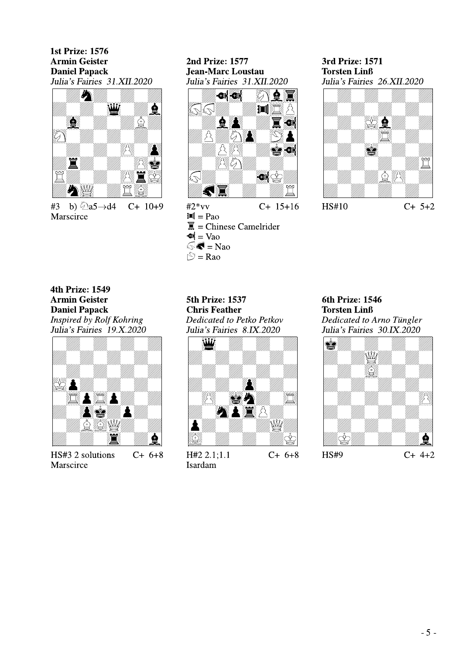**1st Prize: 1576 Armin Geister Daniel Papack** Julia's Fairies 31.XII.2020



#3 b)  $\sqrt[3]{2a5} \rightarrow d4$  $C+ 10+9$ Marscirce

#### **2nd Prize: 1577 Jean-Marc Loustau** Julia's Fairies 31.XII.2020



 $#2*vv$  $C+ 15+16$  $\mathbb{H}$  = Pao  $\overline{\mathbf{a}}$  = Chinese Camelrider  $\mathbf{M} = \text{Vao}$  $\mathbb{R}$  = Nao  $\mathbb{S}$  = Rao

#### 3rd Prize: 1571 **Torsten Linß** Julia's Fairies 26.XII.2020



HS#10

**4th Prize: 1549 Armin Geister Daniel Papack** Inspired by Rolf Kohring Julia's Fairies 19.X.2020



HS#3 2 solutions  $C+6+8$ Marscirce

**5th Prize: 1537 Chris Feather** Dedicated to Petko Petkov Julia's Fairies 8.IX.2020



 $H#2 2.1:1.1$ **Isardam** 

6th Prize: 1546 **Torsten Linß** Dedicated to Arno Tüngler Julia's Fairies 30.IX.2020



 $C+ 5+2$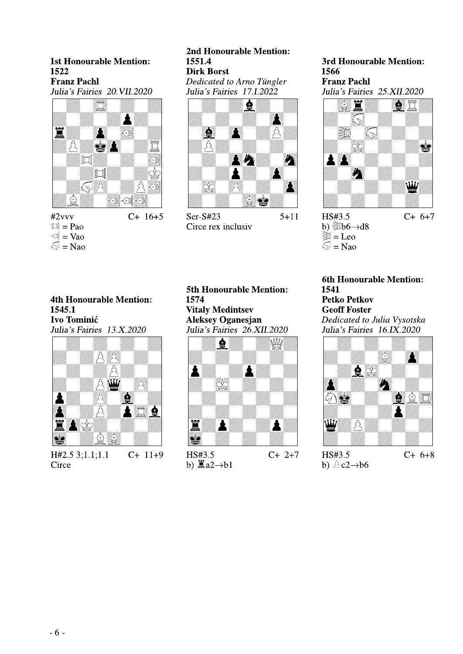#### **1st Honourable Mention:** 1522 **Franz Pachl** Julia's Fairies 20 VII.2020



 $#2vvv$  $\mathbb{H} = \text{Pa}$  $\mathbb{R}$  = Vao  $\mathbb{S}$  = Nao

#### 2nd Honourable Mention: 1551.4 **Dirk Borst** Dedicated to Arno Tüngler

Julia's Fairies 17.1.2022



 $Ser-S#23$  $5 + 11$ Circe rex inclusiv

3rd Honourable Mention: 1566 **Franz Pachl** Julia's Fairies 25.XII.2020



HS#3.5  $C+6+7$ b)  $b\rightarrow 6\rightarrow 48$  $\mathbb{R}$  = Leo  $\mathcal{S}$  = Nao

**4th Honourable Mention:** 1545.1 **Ivo Tominić** Julia's Fairies 13.X.2020



 $C+11+9$ H#2.5 3;1.1;1.1 Circe

**5th Honourable Mention:** 1574 **Vitaly Medintsev Aleksey Oganesjan** Julia's Fairies 26.XII.2020



HS#3.5 b)  $\underline{\mathbb{E}} a2 \rightarrow b1$  6th Honourable Mention: 1541 **Petko Petkov Geoff Foster** Dedicated to Julia Vysotska Julia's Fairies 16.IX.2020



HS#3.5 b)  $\triangle$  c2 $\rightarrow$ b6

 $C+ 6+8$